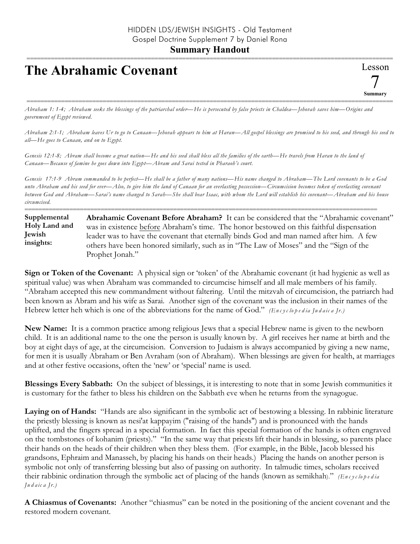## **Summary Handout**

## **The Abrahamic Covenant**



========================================================================================================== *Abraham 1: 1-4; Abraham seeks the blessings of the patriarchal order—He is persecuted by false priests in Chaldea—Jehovah saves him—Origins and government of Egypt reviewed.*

*Abraham 2:1-1; Abraham leaves Ur to go to Canaan—Jehovah appears to him at Haran—All gospel blessings are promised to his seed, and through his seed to all—He goes to Canaan, and on to Egypt.*

*Genesis 12:1-8; Abram shall become a great nation—He and his seed shall bless all the families of the earth—He travels from Haran to the land of Canaan—Because of famine he goes down into Egypt—Abram and Sarai tested in Pharaoh's court.*

*Genesis 17:1-9 Abram commanded to be perfect—He shall be a father of many nations—His name changed to Abraham—The Lord covenants to be a God unto Abraham and his seed for ever—Also, to give him the land of Canaan for an everlasting possession—Circumcision becomes token of everlasting covenant between God and Abraham—Sarai's name changed to Sarah—She shall bear Isaac, with whom the Lord will establish his covenant—Abraham and his house circumcised.*

====================================================================================================== **Abrahamic Covenant Before Abraham?** It can be considered that the "Abrahamic covenant" was in existence before Abraham's time. The honor bestowed on this faithful dispensation leader was to have the covenant that eternally binds God and man named after him. A few others have been honored similarly, such as in "The Law of Moses" and the "Sign of the Prophet Jonah." **Supplemental Holy Land and Jewish insights:**

**Sign or Token of the Covenant:** A physical sign or 'token' of the Abrahamic covenant (it had hygienic as well as spiritual value) was when Abraham was commanded to circumcise himself and all male members of his family. "Abraham accepted this new commandment without faltering. Until the mitzvah of circumcision, the patriarch had been known as Abram and his wife as Sarai. Another sign of the covenant was the inclusion in their names of the Hebrew letter heh which is one of the abbreviations for the name of God." *(En c y c lo p e d ia Ju d a ic a Jr.)*

**New Name:** It is a common practice among religious Jews that a special Hebrew name is given to the newborn child. It is an additional name to the one the person is usually known by. A girl receives her name at birth and the boy at eight days of age, at the circumcision. Conversion to Judaism is always accompanied by giving a new name, for men it is usually Abraham or Ben Avraham (son of Abraham). When blessings are given for health, at marriages and at other festive occasions, often the 'new' or 'special' name is used.

**Blessings Every Sabbath:** On the subject of blessings, it is interesting to note that in some Jewish communities it is customary for the father to bless his children on the Sabbath eve when he returns from the synagogue.

**Laying on of Hands:** "Hands are also significant in the symbolic act of bestowing a blessing. In rabbinic literature the priestly blessing is known as nesi'at kappayim ("raising of the hands") and is pronounced with the hands uplifted, and the fingers spread in a special formation. In fact this special formation of the hands is often engraved on the tombstones of kohanim (priests)." "In the same way that priests lift their hands in blessing, so parents place their hands on the heads of their children when they bless them. (For example, in the Bible, Jacob blessed his grandsons, Ephraim and Manasseh, by placing his hands on their heads.) Placing the hands on another person is symbolic not only of transferring blessing but also of passing on authority. In talmudic times, scholars received their rabbinic ordination through the symbolic act of placing of the hands (known as semikhah)." *(En c y c lope d ia Ju d a ic a Jr.)*

**A Chiasmus of Covenants:** Another "chiasmus" can be noted in the positioning of the ancient covenant and the restored modern covenant.